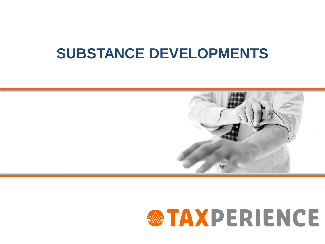# **SUBSTANCE DEVELOPMENTS**



# **WATAXPERIENCE**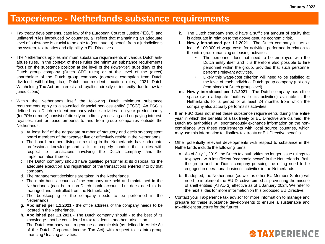#### **Taxperience - Netherlands substance requirements**

- Tax treaty developments, case law of the European Court of Justice ("ECJ"), and unilateral rules introduced by countries, all reflect that maintaining an adequate level of substance is crucial to be able to (continue to) benefit from a jurisdiction's tax system, tax treaties and eligibility to EU Directives.
- The Netherlands applies minimum substance requirements in various Dutch antiabuse rules. In the context of these rules the minimum substance requirements focus on the substance position at the level of the (lower-tier) subsidiary of the Dutch group company (Dutch CFC rules) or at the level of the (direct) shareholder of the Dutch group company (domestic exemption from Dutch dividend withholding tax, Dutch non-resident taxation rules, 2021 Dutch Withholding Tax Act on interest and royalties directly or indirectly due to low-tax jurisdictions).
	- Within the Netherlands itself the following Dutch minimum substance requirements apply to a so-called 'financial services entity' ("FSC"). An FSC is defined as a Dutch resident company whose activities in a year predominantly (for 70% or more) consist of directly or indirectly receiving and on-paying interest, royalties, rent or lease amounts to and from group companies outside the Netherlands.
		- a. At least half of the aggregate number of statutory and decision-competent board members of the taxpayer live or effectively reside in the Netherlands.
		- b. The board members living or residing in the Netherlands have adequate professional knowledge and skills to properly conduct their duties with respect to transactions involving the Dutch company and the implementation thereof.
		- c. The Dutch company should have qualified personnel at its disposal for the adequate execution and registration of the transactions entered into by that company.
		- d. The management decisions are taken in the Netherlands.
		- e. The main bank accounts of the company are held and maintained in the Netherlands (can be a non-Dutch bank account, but does need to be managed and controlled from the Netherlands)
		- f. The bookkeeping of the company needs to be performed in the Netherlands.
		- **g. Abolished per 1.1.2021** the office address of the company needs to be located in the Netherlands.
		- **h. Abolished per 1.1.2021** The Dutch company should to the best of its knowledge - not be considered a tax resident in another jurisdiction.
		- i. The Dutch company runs a genuine economic risk (as defined in Article 8c of the Dutch Corporate Income Tax Act) with respect to its intra-group financing / leasing activities.
- k. The Dutch company should have a sufficient amount of equity that is adequate in relation to the above genuine economic risk.
- **l. Newly introduced per 1.1.2021** The Dutch company incurs at least € 100,000 of wage costs for activities performed in relation to the intra-group financing or leasing activities.
	- The personnel does not need to be employed with the Dutch entity itself and it is therefore also possible to hire personnel within the group, provided that such personnel performs relevant activities.
	- Likely this wage-cost criterion will need to be satisfied at the level of each individual Dutch group company (not only (combined) at Dutch group level).
- **m. Newly introduced per 1.1.2021** The Dutch company has office space (with adequate facilities for its activities) available in the Netherlands for a period of at least 24 months from which the company also actually performs its activities.
- If an FSC does not meet these substance requirements during the entire year in which the benefits of a tax treaty or EU Directive are claimed, the Dutch tax authorities will spontaneously exchange information on the noncompliance with these requirements with local source countries, which may use this information to disallow tax treaty or EU Directive benefits.
- Other potentially relevant developments with respect to substance in the Netherlands include the following items.
	- a. As of July 1, 2019, the Dutch tax authorities no longer issue rulings to taxpayers with insufficient "economic nexus" in the Netherlands. Both the group and the Dutch company pursuing the ruling need to be engaged in operational business activities in the Netherlands.
	- b. If adopted, the Netherlands (as well as other EU Member States) will need to implement the EU Directive aimed at preventing the misuse of shell entities (ATAD 3) effective as of 1 January 2024. We refer to the next slides for more information on this proposed EU Directive.
- Contact your Taxperience tax advisor for more information to manage and prepare for these substance developments to ensure a sustainable and tax-efficient structure for the future!

# **<sup><b>@TAXPERIENCE**</sup>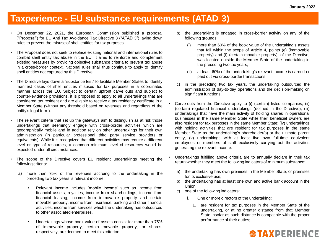## **Taxperience - EU substance requirements (ATAD 3)**

- On December 22, 2021, the European Commission published a proposal ("Proposal") for EU Anti Tax Avoidance Tax Directive 3 ("ATAD 3") laying down rules to prevent the misuse of shell entities for tax purposes.
- The Proposal does not seek to replace existing national and international rules to combat shell entity tax abuse in the EU. It aims to reinforce and complement existing measures by providing objective substance criteria to prevent tax abuse in a cross-border context. National rules shall thus continue to apply to identify shell entities not captured by this Directive.
- The Directive lays down a "substance test" to facilitate Member States to identify manifest cases of shell entities misused for tax purposes in a coordinated manner across the EU. Subject to certain upfront carve outs and subject to counter-evidence provisions, it is proposed to apply to all undertakings that are considered tax resident and are eligible to receive a tax residency certificate in a Member State (without any threshold based on revenues and regardless of the entity's legal form).
- The relevant criteria that set up the gateways aim to distinguish as at risk those undertakings that seemingly engage with cross-border activities which are geographically mobile and in addition rely on other undertakings for their own administration (in particular professional third party service providers or equivalents). While it is recognized that different activities may require a different level or type of resources, a common minimum level of resources would be expected under all circumstances.
- The scope of the Directive covers EU resident undertakings meeting the following criteria:
	- a) more than 75% of the revenues accruing to the undertaking in the preceding two tax years is relevant income;
		- Relevant income includes 'mobile income' such as income from financial assets, royalties, income from shareholdings, income from financial leasing, income from immovable property and certain movable property, income from insurance, banking and other financial activities, income from services which the undertaking has outsourced to other associated enterprises.
		- Undertakings whose book value of assets consist for more than 75% of immovable property, certain movable property, or shares, respectively, are deemed to meet this criterion.
- b) the undertaking is engaged in cross-border activity on any of the following grounds:
	- (i) more than 60% of the book value of the undertaking's assets that fall within the scope of Article 4, points (e) (immovable property) and (f) (certain movable property), of the Directive, was located outside the Member State of the undertaking in the preceding two tax years;
	- (ii) at least 60% of the undertaking's relevant income is earned or paid out via cross-border transactions;
- c) in the preceding two tax years, the undertaking outsourced the administration of day-to-day operations and the decision-making on significant functions.
- Carve-outs from the Directive apply to (i) (certain) listed companies, (ii) (certain) regulated financial undertakings (defined in the Directive), (iii) undertakings that have the main activity of holding shares in operational businesses in the same Member State while their beneficial owners are also resident for tax purposes in the same Member State; (iv) undertakings with holding activities that are resident for tax purposes in the same Member State as the undertaking's shareholder(s) or the ultimate parent entity, (v) undertakings with at least five own full-time equivalent employees or members of staff exclusively carrying out the activities generating the relevant income.
- Undertakings fulfilling above criteria are to annually declare in their tax return whether they meet the following indicators of minimum substance:
	- a) the undertaking has own premises in the Member State, or premises for its exclusive use;
	- b) the undertaking has at least one own and active bank account in the Union;
	- c) one of the following indicators:
		- i. One or more directors of the undertaking:
			- 1. are resident for tax purposes in the Member State of the undertaking, or at no greater distance from that Member State insofar as such distance is compatible with the proper performance of their duties;